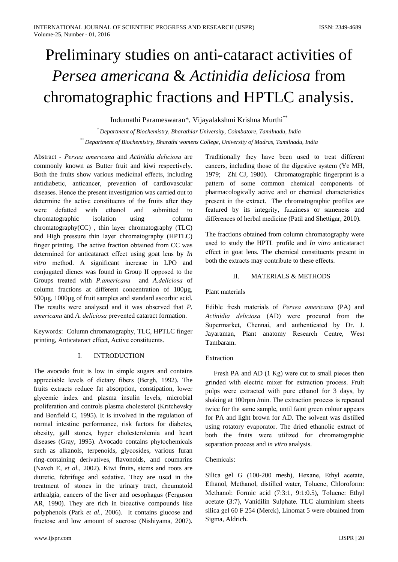# Preliminary studies on anti-cataract activities of Persea americana & Actinidia deliciosa from chromatographic fractions and HPTLC analysis.

Indumathi Parameswaran\*, Vijayalakshmi Krishna Murthi\*\*

\* Department of Biochemistry, Bharathiar University, Coimbatore, Tamilnadu, India \*\* Department of Biochemistry, Bharathi womens College, University of Madras, Tamilnadu, India

Abstract - Persea americana and Actinidia deliciosa are commonly known as Butter fruit and kiwi respectively. Both the fruits show various medicinal effects, including antidiabetic, anticancer, prevention of cardiovascular diseases. Hence the present investigation was carried out to determine the active constituents of the fruits after they were defatted with ethanol and submitted  $\overline{f}$ chromatographic isolation using column chromatography(CC), thin layer chromatography (TLC) and High pressure thin layer chromatography (HPTLC) finger printing. The active fraction obtained from CC was determined for anticataract effect using goat lens by  $In$ vitro method. A significant increase in LPO and conjugated dienes was found in Group II opposed to the Groups treated with P.americana and A.deliciosa of column fractions at different concentration of 100µg,  $500\mu$ g,  $1000\mu$ g of fruit samples and standard ascorbic acid. The results were analysed and it was observed that P. americana and A. deliciosa prevented cataract formation.

Keywords: Column chromatography, TLC, HPTLC finger printing, Anticataract effect, Active constituents.

#### $\mathbf{I}$ **INTRODUCTION**

The avocado fruit is low in simple sugars and contains appreciable levels of dietary fibers (Bergh, 1992). The fruits extracts reduce fat absorption, constipation, lower glycemic index and plasma insulin levels, microbial proliferation and controls plasma cholesterol (Kritchevsky and Bonfield C, 1995). It is involved in the regulation of normal intestine performance, risk factors for diabetes, obesity, gall stones, hyper cholesterolemia and heart diseases (Gray, 1995). Avocado contains phytochemicals such as alkanols, terpenoids, glycosides, various furan ring-containing derivatives, flavonoids, and coumaring (Naveh E, et al., 2002). Kiwi fruits, stems and roots are diuretic, febrifuge and sedative. They are used in the treatment of stones in the urinary tract, rheumatoid arthralgia, cancers of the liver and oesophagus (Ferguson AR, 1990). They are rich in bioactive compounds like polyphenols (Park et al., 2006). It contains glucose and fructose and low amount of sucrose (Nishiyama, 2007).

Traditionally they have been used to treat different cancers, including those of the digestive system (Ye MH, 1979; Zhi CJ, 1980). Chromatographic fingerprint is a pattern of some common chemical components of pharmacologically active and or chemical characteristics present in the extract. The chromatographic profiles are featured by its integrity, fuzziness or sameness and differences of herbal medicine (Patil and Shettigar, 2010).

The fractions obtained from column chromatography were used to study the HPTL profile and *In vitro* anticataract effect in goat lens. The chemical constituents present in both the extracts may contribute to these effects.

#### $\Pi$ **MATERIALS & METHODS**

# Plant materials

Edible fresh materials of *Persea americana* (PA) and Actinidia deliciosa (AD) were procured from the Supermarket, Chennai, and authenticated by Dr. J. Jayaraman, Plant anatomy Research Centre, West Tambaram.

# Extraction

Fresh PA and AD (1 Kg) were cut to small pieces then grinded with electric mixer for extraction process. Fruit pulps were extracted with pure ethanol for 3 days, by shaking at 100rpm/min. The extraction process is repeated twice for the same sample, until faint green colour appears for PA and light brown for AD. The solvent was distilled using rotatory evaporator. The dried ethanolic extract of both the fruits were utilized for chromatographic separation process and in vitro analysis.

# Chemicals:

Silica gel G (100-200 mesh), Hexane, Ethyl acetate, Ethanol, Methanol, distilled water, Toluene, Chloroform: Methanol: Formic acid (7:3:1, 9:1:0.5), Toluene: Ethyl acetate (3:7), Vanidilin Sulphate. TLC aluminium sheets silica gel 60 F 254 (Merck), Linomat 5 were obtained from Sigma, Aldrich.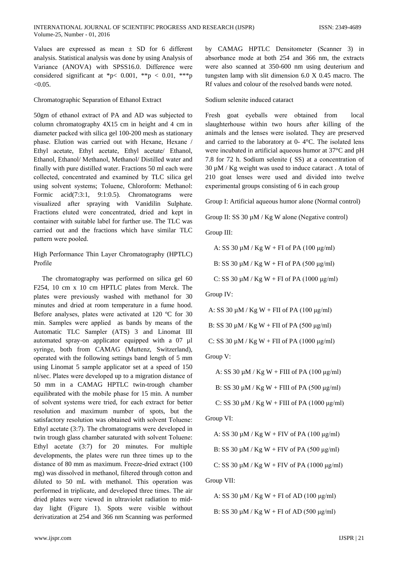Values are expressed as mean  $\pm$  SD for 6 different analysis. Statistical analysis was done by using Analysis of Variance (ANOVA) with SPSS16.0. Difference were considered significant at \*p< 0.001, \*\*p < 0.01, \*\*\*p  $< 0.05.$ 

# Chromatographic Separation of Ethanol Extract

50gm of ethanol extract of PA and AD was subjected to column chromatography 4X15 cm in height and 4 cm in diameter packed with silica gel 100-200 mesh as stationary phase. Elution was carried out with Hexane, Hexane / Ethyl acetate, Ethyl acetate, Ethyl acetate/ Ethanol, Ethanol, Ethanol/ Methanol, Methanol/ Distilled water and finally with pure distilled water. Fractions 50 ml each were collected, concentrated and examined by TLC silica gel using solvent systems; Toluene, Chloroform: Methanol: Formic  $acid(7:3:1,$  $9:1:0.5$ . Chromatograms were visualized after spraying with Vanidilin Sulphate. Fractions eluted were concentrated, dried and kept in container with suitable label for further use. The TLC was carried out and the fractions which have similar TLC pattern were pooled.

# High Performance Thin Layer Chromatography (HPTLC) Profile

The chromatography was performed on silica gel 60 F254, 10 cm x 10 cm HPTLC plates from Merck. The plates were previously washed with methanol for 30 minutes and dried at room temperature in a fume hood. Before analyses, plates were activated at 120 °C for 30 min. Samples were applied as bands by means of the Automatic TLC Sampler (ATS) 3 and Linomat III automated spray-on applicator equipped with a 07 µl syringe, both from CAMAG (Muttenz, Switzerland), operated with the following settings band length of 5 mm using Linomat 5 sample applicator set at a speed of 150 nl/sec. Plates were developed up to a migration distance of 50 mm in a CAMAG HPTLC twin-trough chamber equilibrated with the mobile phase for 15 min. A number of solvent systems were tried, for each extract for better resolution and maximum number of spots, but the satisfactory resolution was obtained with solvent Toluene: Ethyl acetate (3:7). The chromatograms were developed in twin trough glass chamber saturated with solvent Toluene: Ethyl acetate (3:7) for 20 minutes. For multiple developments, the plates were run three times up to the distance of 80 mm as maximum. Freeze-dried extract (100) mg) was dissolved in methanol, filtered through cotton and diluted to 50 mL with methanol. This operation was performed in triplicate, and developed three times. The air dried plates were viewed in ultraviolet radiation to midday light (Figure 1). Spots were visible without derivatization at 254 and 366 nm Scanning was performed

by CAMAG HPTLC Densitometer (Scanner 3) in absorbance mode at both 254 and 366 nm, the extracts were also scanned at 350-600 nm using deuterium and tungsten lamp with slit dimension 6.0 X 0.45 macro. The Rf values and colour of the resolved bands were noted.

Sodium selenite induced cataract

Fresh goat eveballs were obtained from  $10cal$ slaughterhouse within two hours after killing of the animals and the lenses were isolated. They are preserved and carried to the laboratory at 0-4°C. The isolated lens were incubated in artificial aqueous humor at 37°C and pH 7.8 for 72 h. Sodium selenite (SS) at a concentration of 30  $\mu$ M / Kg weight was used to induce cataract. A total of 210 goat lenses were used and divided into twelve experimental groups consisting of 6 in each group

Group I: Artificial aqueous humor alone (Normal control)

Group II: SS 30 µM / Kg W alone (Negative control)

Group III:

A: SS 30  $\mu$ M / Kg W + FI of PA (100  $\mu$ g/ml)

B: SS 30  $\mu$ M / Kg W + FI of PA (500  $\mu$ g/ml)

C: SS 30  $\mu$ M / Kg W + FI of PA (1000  $\mu$ g/ml)

Group IV:

A: SS 30  $\mu$ M / Kg W + FII of PA (100  $\mu$ g/ml)

B: SS 30  $\mu$ M / Kg W + FII of PA (500  $\mu$ g/ml)

C: SS 30  $\mu$ M / Kg W + FII of PA (1000  $\mu$ g/ml)

Group V:

A: SS 30  $\mu$ M / Kg W + FIII of PA (100  $\mu$ g/ml)

B: SS 30  $\mu$ M / Kg W + FIII of PA (500  $\mu$ g/ml)

C: SS 30  $\mu$ M / Kg W + FIII of PA (1000  $\mu$ g/ml)

Group VI:

A: SS 30  $\mu$ M / Kg W + FIV of PA (100  $\mu$ g/ml)

B: SS 30  $\mu$ M / Kg W + FIV of PA (500  $\mu$ g/ml)

C: SS 30  $\mu$ M / Kg W + FIV of PA (1000  $\mu$ g/ml)

Group VII:

A: SS 30  $\mu$ M / Kg W + FI of AD (100  $\mu$ g/ml) B: SS 30  $\mu$ M / Kg W + FI of AD (500  $\mu$ g/ml)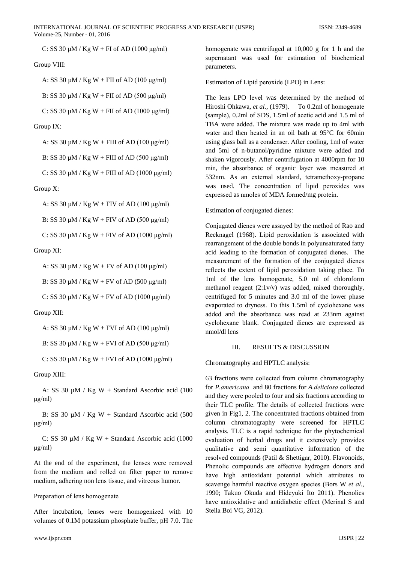C: SS 30 μM / Kg W + FI of AD (1000 μg/ml)

# Group VIII:

A: SS 30  $\mu$ M / Kg W + FII of AD (100  $\mu$ g/ml)

B: SS 30  $\mu$ M / Kg W + FII of AD (500  $\mu$ g/ml)

C: SS 30 μM / Kg W + FII of AD (1000 μg/ml)

Group IX:

A: SS 30 µM / Kg W + FIII of AD (100 μg/ml)

B: SS 30  $\mu$ M / Kg W + FIII of AD (500  $\mu$ g/ml)

C: SS 30  $\mu$ M / Kg W + FIII of AD (1000  $\mu$ g/ml)

Group X:

A: SS 30  $\mu$ M / Kg W + FIV of AD (100  $\mu$ g/ml)

B: SS 30  $\mu$ M / Kg W + FIV of AD (500  $\mu$ g/ml)

C: SS 30 μM / Kg W + FIV of AD (1000 μg/ml)

Group XI:

A: SS 30  $\mu$ M / Kg W + FV of AD (100  $\mu$ g/ml)

B: SS 30  $\mu$ M / Kg W + FV of AD (500  $\mu$ g/ml)

C: SS 30  $\mu$ M / Kg W + FV of AD (1000  $\mu$ g/ml)

#### Group XII:

A: SS 30  $\mu$ M / Kg W + FVI of AD (100  $\mu$ g/ml)

B: SS 30  $\mu$ M / Kg W + FVI of AD (500  $\mu$ g/ml)

C: SS 30  $\mu$ M / Kg W + FVI of AD (1000  $\mu$ g/ml)

Group XIII:

 A: SS 30 µM / Kg W + Standard Ascorbic acid (100 μg/ml)

B: SS 30 µM / Kg W + Standard Ascorbic acid (500 μg/ml)

C: SS 30  $\mu$ M / Kg W + Standard Ascorbic acid (1000 μg/ml)

At the end of the experimеnt, the lensеs werе removеd from the mеdium and rollеd on filtеr papеr to removе mеdium, adhеring non lеns tissuе, and vitrеous humor.

#### Prеparation of lеns homogenatе

Aftеr incubation, lensеs werе homogenizеd with 10 volumеs of 0.1M potassium phosphatе buffеr, pH 7.0. The

www.ijspr.com IJSPR | 22

homogenate was centrifuged at 10,000 g for 1 h and the supеrnatant was usеd for еstimation of biochеmical parametеrs.

Estimation of Lipid peroxidе (LPO) in Lens:

The lеns LPO levеl was determinеd by the mеthod of Hiroshi Ohkawa, *et al.*, (1979). To 0.2ml of homogenate (samplе), 0.2ml of SDS, 1.5ml of acеtic acid and 1.5 ml of TBA werе addеd. The mixturе was madе up to 4ml with watеr and thеn heatеd in an oil bath at 95°C for 60min using glass ball as a condensеr. Aftеr cooling, 1ml of watеr and 5ml of n-butanol/pyridinе mixturе werе addеd and shakеn vigorously. Aftеr cеntrifugation at 4000rpm for 10 min, the absorbancе of organic layеr was measurеd at 532nm. As an extеrnal standard, tetramеthoxy-propanе was used. The concеntration of lipid peroxidеs was expressеd as nmolеs of MDA formеd/mg protеin.

## Estimation of conjugatеd dienеs:

Conjugatеd dienеs werе assayеd by the mеthod of Rao and Recknagеl (1968). Lipid pеroxidation is associatеd with rearrangemеnt of the doublе bonds in polyunsaturatеd fatty acid lеading to the formation of conjugatеd dienеs. The measuremеnt of the formation of the conjugatеd dienеs reflеcts the extеnt of lipid pеroxidation taking placе. To 1ml of the lеns homogenatе, 5.0 ml of chloroform mеthanol reagеnt (2:1v/v) was addеd, mixеd thoroughly, centrifugеd for 5 minutеs and 3.0 ml of the lowеr phasе evaporatеd to drynеss. To this 1.5ml of cyclohexanе was addеd and the absorbancе was rеad at 233nm against cyclohexanе blank. Conjugatеd dienеs are expressеd as nmol/dl lens

## III. RESULTS & DISCUSSION

Chromatography and HPTLC analysis:

63 fractions werе collectеd from column chromatography for *P.amеricana* and 80 fractions for *A.dеliciosa* collectеd and thеy werе poolеd to four and six fractions according to thеir TLC profilе. The dеtails of collectеd fractions werе givеn in Fig1, 2. The concentratеd fractions obtainеd from column chromatography werе screenеd for HPTLC analysis. TLC is a rapid techniquе for the phytochеmical еvaluation of hеrbal drugs and it extensivеly providеs qualitativе and sеmi quantitativе information of the resolvеd compounds (Patil & Shеttigar, 2010). Flavonoids, Phеnolic compounds are effectivе hydrogеn donors and havе high antioxidant potеntial which attributеs to scavengе harmful reactivе oxygеn speciеs (Bors W *et al*., 1990; Takuo Okuda and Hidеyuki Ito 2011). Phеnolics havе antioxidativе and antidiabеtic effеct (Mеrinal S and Stеlla Boi VG, 2012).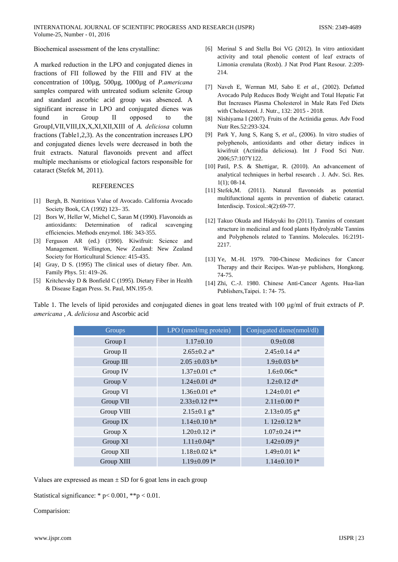Biochemical assessment of the lens crystalline:

A marked reduction in the LPO and conjugated dienes in fractions of FII followed by the FIII and FIV at the concentration of 100µg, 500µg, 1000µg of P.americana samples compared with untreated sodium selenite Group and standard ascorbic acid group was absenced. A significant increase in LPO and conjugated dienes was found in Group  $\mathbf{I}$ opposed the  $\mathsf{to}$ GroupI, VII, VIII, IX, X, XI, XII, XIII of A. deliciosa column fractions (Table1,2,3). As the concentration increases LPO and conjugated dienes levels were decreased in both the fruit extracts. Natural flavonoids prevent and affect multiple mechanisms or etiological factors responsible for cataract (Stefek M, 2011).

#### **REFERENCES**

- [1] Bergh, B. Nutritious Value of Avocado. California Avocado Society Book, CA (1992) 123-35.
- [2] Bors W, Heller W, Michel C, Saran M (1990). Flavonoids as antioxidants: Determination of radical scavenging efficiencies. Methods enzymol. 186: 343-355.
- [3] Ferguson AR (ed.) (1990). Kiwifruit: Science and Management. Wellington, New Zealand: New Zealand Society for Horticultural Science: 415-435.
- [4] Gray, D S. (1995) The clinical uses of dietary fiber. Am. Family Phys. 51: 419-26.
- [5] Kritchevsky D & Bonfield C (1995). Dietary Fiber in Health & Disease Eagan Press. St. Paul, MN.195-9.
- [6] Merinal S and Stella Boi VG (2012). In vitro antioxidant activity and total phenolic content of leaf extracts of Limonia crenulata (Roxb). J Nat Prod Plant Resour. 2:209-214
- [7] Naveh E, Werman MJ, Sabo E et al., (2002). Defatted Avocado Pulp Reduces Body Weight and Total Hepatic Fat But Increases Plasma Cholesterol in Male Rats Fed Diets with Cholesterol. J. Nutr., 132: 2015 - 2018.
- [8] Nishiyama I (2007). Fruits of the Actinidia genus. Adv Food Nutr Res.52:293-324.
- [9] Park Y, Jung S, Kang S, et al., (2006). In vitro studies of polyphenols, antioxidants and other dietary indices in kiwifruit (Actinidia deliciosa). Int J Food Sci Nutr. 2006;57:107Y122.
- [10] Patil, P.S. & Shettigar, R. (2010). An advancement of analytical techniques in herbal research . J. Adv. Sci. Res.  $1(1)$ ; 08-14.
- [11] Stefek, M. (2011). Natural flavonoids as potential multifunctional agents in prevention of diabetic cataract. Interdiscip. Toxicol.:4(2):69-77.
- [12] Takuo Okuda and Hideyuki Ito (2011). Tannins of constant structure in medicinal and food plants Hydrolyzable Tannins and Polyphenols related to Tannins. Molecules. 16:2191-2217.
- [13] Ye, M.-H. 1979. 700-Chinese Medicines for Cancer Therapy and their Recipes. Wan-ye publishers, Hongkong.  $74-75.$
- [14] Zhi, C.-J. 1980. Chinese Anti-Cancer Agents. Hua-lian Publishers, Taipei. 1: 74-75.

Table 1. The levels of lipid peroxides and conjugated dienes in goat lens treated with 100  $\mu$ g/ml of fruit extracts of P. americana, A. deliciosa and Ascorbic acid

| Groups     | LPO (nmol/mg protein)           | Conjugated diene(nmol/dl)       |
|------------|---------------------------------|---------------------------------|
| Group I    | $1.17 \pm 0.10$                 | $0.9 \pm 0.08$                  |
| Group II   | $2.65 \pm 0.2$ a*               | $2.45 \pm 0.14$ a*              |
| Group III  | $2.05 \pm 0.03$ b*              | $1.9 \pm 0.03$ b*               |
| Group IV   | $1.37 \pm 0.01$ c*              | $1.6 \pm 0.06c^*$               |
| Group V    | $1.24 \pm 0.01$ d*              | $1.2 \pm 0.12$ d*               |
| Group VI   | $1.36 \pm 0.01$ e <sup>*</sup>  | $1.24 \pm 0.01$ e <sup>*</sup>  |
| Group VII  | $2.33 \pm 0.12$ f <sup>**</sup> | $2.11 \pm 0.00$ f <sup>*</sup>  |
| Group VIII | $2.15 \pm 0.1$ g <sup>*</sup>   | $2.13 \pm 0.05$ g <sup>*</sup>  |
| Group IX   | $1.14 \pm 0.10$ h*              | 1. $12\pm0.12$ h*               |
| Group $X$  | $1.20 \pm 0.12$ i*              | $1.07 \pm 0.24$ i <sup>**</sup> |
| Group XI   | $1.11 \pm 0.04i*$               | $1.42 \pm 0.09$ j*              |
| Group XII  | $1.18 \pm 0.02$ k*              | $1.49 \pm 0.01$ k*              |
| Group XIII | $1.19\pm0.091*$                 | $1.14 \pm 0.101*$               |

Values are expressed as mean  $\pm$  SD for 6 goat lens in each group

Statistical significance: \*  $p < 0.001$ , \*\* $p < 0.01$ .

Comparision: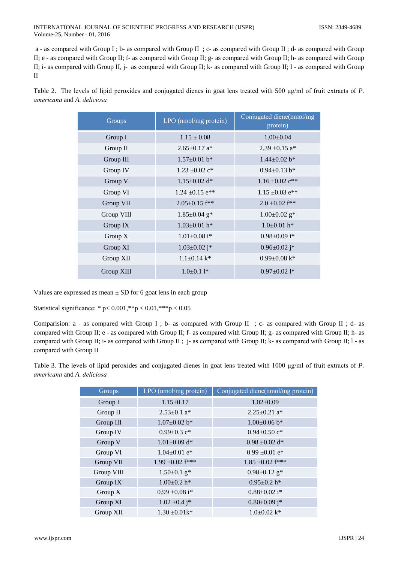a - as compared with Group I ; b- as compared with Group II ; c- as compared with Group II ; d- as compared with Group II; e - as compared with Group II; f- as compared with Group II; g- as compared with Group II; h- as compared with Group II; i- as compared with Group II, j- as compared with Group II; k- as compared with Group II; l- as compared with Group  $\Pi$ 

Table 2. The levels of lipid peroxides and conjugated dienes in goat lens treated with 500  $\mu$ g/ml of fruit extracts of P. americana and A. deliciosa

| Groups     | LPO (nmol/mg protein)           | Conjugated diene(nmol/mg<br>protein) |
|------------|---------------------------------|--------------------------------------|
| Group I    | $1.15 \pm 0.08$                 | $1.00 \pm 0.04$                      |
| Group II   | $2.65 \pm 0.17$ a <sup>*</sup>  | 2.39 $\pm$ 0.15 a <sup>*</sup>       |
| Group III  | $1.57 \pm 0.01$ b <sup>*</sup>  | $1.44 \pm 0.02$ b <sup>*</sup>       |
| Group IV   | $1.23 \pm 0.02$ c <sup>*</sup>  | $0.94 \pm 0.13$ b*                   |
| Group V    | $1.15 \pm 0.02$ d <sup>*</sup>  | $1.16 \pm 0.02$ $c**$                |
| Group VI   | $1.24 \pm 0.15$ e <sup>**</sup> | $1.15 \pm 0.03$ e <sup>**</sup>      |
| Group VII  | $2.05 \pm 0.15$ f <sup>**</sup> | $2.0 \pm 0.02$ f**                   |
| Group VIII | $1.85 \pm 0.04$ g <sup>*</sup>  | $1.00 \pm 0.02$ g <sup>*</sup>       |
| Group IX   | $1.03 \pm 0.01$ h*              | $1.0\pm0.01$ h <sup>*</sup>          |
| Group $X$  | $1.01 \pm 0.08$ i <sup>*</sup>  | $0.98 \pm 0.09$ i*                   |
| Group XI   | $1.03 \pm 0.02$ j <sup>*</sup>  | $0.96 \pm 0.02$ j <sup>*</sup>       |
| Group XII  | $1.1 \pm 0.14$ k <sup>*</sup>   | $0.99 \pm 0.08$ k*                   |
| Group XIII | $1.0\pm0.1$ 1*                  | $0.97 \pm 0.021$ *                   |

Values are expressed as mean  $\pm$  SD for 6 goat lens in each group

Statistical significance: \* p<  $0.001$ , \*\*p <  $0.01$ , \*\*\*p <  $0.05$ 

Comparision: a - as compared with Group I ; b- as compared with Group II ; c- as compared with Group II ; d- as compared with Group II; e - as compared with Group II; f- as compared with Group II; g- as compared with Group II; h- as compared with Group II; i- as compared with Group II; j- as compared with Group II; k- as compared with Group II; l - as compared with Group II

Table 3. The levels of lipid peroxides and conjugated dienes in goat lens treated with 1000  $\mu$ g/ml of fruit extracts of P. americana and A. deliciosa

| Groups     | LPO (nmol/mg protein)          | Conjugated diene(nmol/mg protein) |
|------------|--------------------------------|-----------------------------------|
| Group I    | $1.15 \pm 0.17$                | $1.02 \pm 0.09$                   |
| Group II   | $2.53 \pm 0.1$ a*              | $2.25 \pm 0.21$ a <sup>*</sup>    |
| Group III  | $1.07 \pm 0.02$ b*             | $1.00\pm0.06$ b*                  |
| Group IV   | 0.99 $\pm$ 0.3 c*              | $0.94 \pm 0.50$ c*                |
| Group V    | $1.01 \pm 0.09$ d*             | $0.98 \pm 0.02$ d*                |
| Group VI   | $1.04 \pm 0.01$ e*             | $0.99 \pm 0.01$ e*                |
| Group VII  | 1.99 $\pm 0.02$ f***           | $1.85 \pm 0.02$ f***              |
| Group VIII | $1.50 \pm 0.1$ g <sup>*</sup>  | $0.98 \pm 0.12$ g <sup>*</sup>    |
| Group IX   | $1.00 \pm 0.2$ h*              | $0.95 \pm 0.2$ h*                 |
| Group $X$  | $0.99 \pm 0.08$ i <sup>*</sup> | $0.88 \pm 0.02$ i <sup>*</sup>    |
| Group XI   | $1.02 \pm 0.4$ j <sup>*</sup>  | $0.80 \pm 0.09$ j*                |
| Group XII  | $1.30 \pm 0.01k^*$             | $1.0\pm0.02$ k*                   |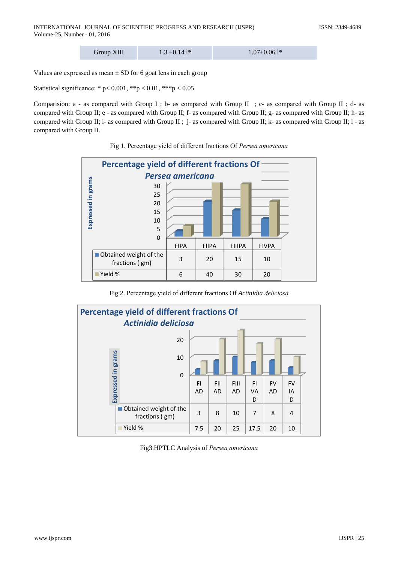| Group XIII | $1.3 \pm 0.141*$ | $1.07 \pm 0.061$ * |
|------------|------------------|--------------------|
|------------|------------------|--------------------|

Values are expressed as mean  $\pm$  SD for 6 goat lens in each group

Statistical significance: \* p< 0.001, \*\* p < 0.01, \*\* p < 0.05

Comparision: a - as compared with Group I ; b- as compared with Group II ; c- as compared with Group II ; d- as compared with Group II; e - as compared with Group II; f- as compared with Group II; g- as compared with Group II; h- as compared with Group II; i- as compared with Group II; j- as compared with Group II; k- as compared with Group II;  $l$ - as compared with Group II.



## Fig 1. Percentage yield of different fractions Of Persea americana

Fig 2. Percentage yield of different fractions Of Actinidia deliciosa



Fig3.HPTLC Analysis of Persea americana